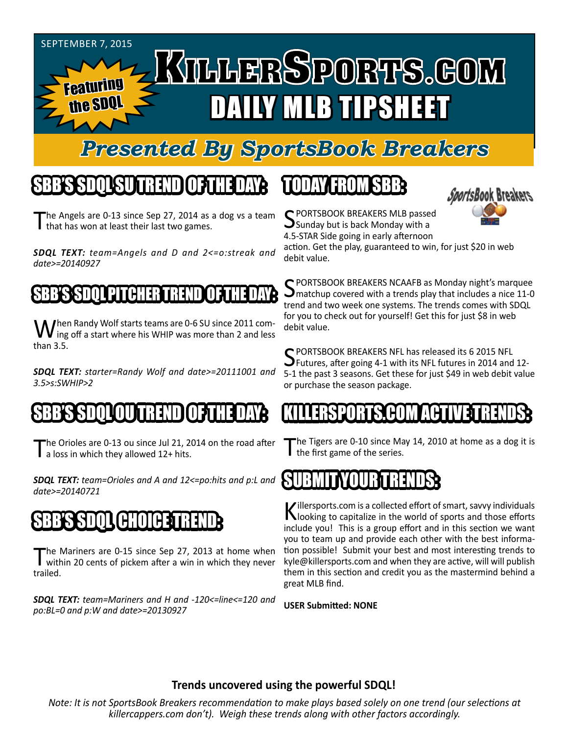#### September 7, 2015 KILLERSPORTS.GOM Featuring DAILY MLB TIPSHEET the SDQ

#### *Presented By SportsBook Breakers*

### SBB'S SDQL SU TREND OF THE DAY:

The Angels are 0-13 since Sep 27, 2014 as a dog vs a team I that has won at least their last two games.

*SDQL TEXT: team=Angels and D and 2<=o:streak and date>=20140927*

#### BEER SPACE PITCH

When Randy Wolf starts teams are 0-6 SU since 2011 com-<br>ing off a start where his WHIP was more than 2 and less than 3.5.

*SDQL TEXT: starter=Randy Wolf and date>=20111001 and 3.5>s:SWHIP>2*

#### OU IN EREENDI

The Orioles are 0-13 ou since Jul 21, 2014 on the road after a loss in which they allowed 12+ hits.

*SDQL TEXT: team=Orioles and A and 12<=po:hits and p:L and date>=20140721*

## SBB'S SDQL CHOICE TREND

The Mariners are 0-15 since Sep 27, 2013 at home when<br>within 20 cents of pickem after a win in which they never trailed.

*SDQL TEXT: team=Mariners and H and -120<=line<=120 and po:BL=0 and p:W and date>=20130927*

#### TODAY HAOMSBB



C PORTSBOOK BREAKERS MLB passed  $\bigcup$  Sunday but is back Monday with a 4.5-STAR Side going in early afternoon

action. Get the play, guaranteed to win, for just \$20 in web debit value.

SPORTSBOOK BREAKERS NCAAFB as Monday night's marquee<br>Smatchup covered with a trends play that includes a nice 11-0 trend and two week one systems. The trends comes with SDQL for you to check out for yourself! Get this for just \$8 in web debit value.

C PORTSBOOK BREAKERS NFL has released its 6 2015 NFL **J** Futures, after going 4-1 with its NFL futures in 2014 and 12-5-1 the past 3 seasons. Get these for just \$49 in web debit value or purchase the season package.

#### KILLERSPORTS.COM ACTIVE TRENDS:

The Tigers are 0-10 since May 14, 2010 at home as a dog it is I the first game of the series.

#### SUBMITYOUR TRENDS:

Killersports.com is a collected effort of smart, savvy individuals<br>Nooking to capitalize in the world of sports and those efforts include you! This is a group effort and in this section we want you to team up and provide each other with the best information possible! Submit your best and most interesting trends to kyle@killersports.com and when they are active, will will publish them in this section and credit you as the mastermind behind a great MLB find.

**USER Submitted: NONE**

#### **Trends uncovered using the powerful SDQL!**

*Note: It is not SportsBook Breakers recommendation to make plays based solely on one trend (our selections at killercappers.com don't). Weigh these trends along with other factors accordingly.*